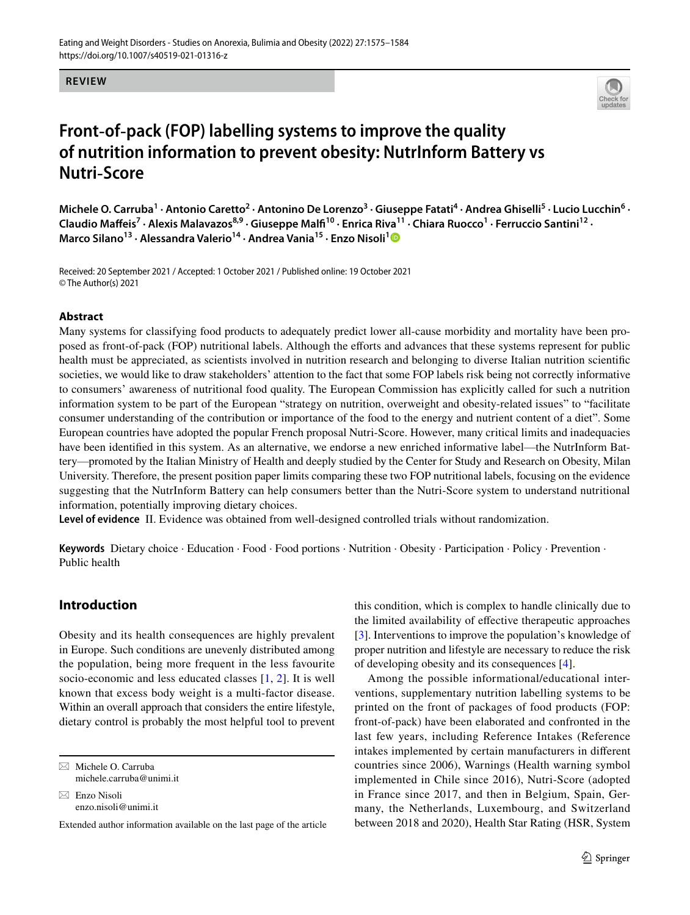#### **REVIEW**



# **Front**‑**of**‑**pack (FOP) labelling systems to improve the quality of nutrition information to prevent obesity: NutrInform Battery vs Nutri**‑**Score**

Michele O. Carruba<sup>1</sup> · Antonio Caretto<sup>2</sup> · Antonino De Lorenzo<sup>3</sup> · Giuseppe Fatati<sup>4</sup> · Andrea Ghiselli<sup>5</sup> · Lucio Lucchin<sup>6</sup> · Claudio Maffeis<sup>7</sup> · Alexis Malavazos<sup>8,9</sup> · Giuseppe Malfi<sup>10</sup> · Enrica Riva<sup>11</sup> · Chiara Ruocco<sup>1</sup> · Ferruccio Santini<sup>12</sup> · **Marco Silano13 · Alessandra Valerio14 · Andrea Vania15 · Enzo Nisoli[1](http://orcid.org/0000-0002-6670-1630)**

Received: 20 September 2021 / Accepted: 1 October 2021 / Published online: 19 October 2021 © The Author(s) 2021

#### **Abstract**

Many systems for classifying food products to adequately predict lower all-cause morbidity and mortality have been proposed as front-of-pack (FOP) nutritional labels. Although the efforts and advances that these systems represent for public health must be appreciated, as scientists involved in nutrition research and belonging to diverse Italian nutrition scientifc societies, we would like to draw stakeholders' attention to the fact that some FOP labels risk being not correctly informative to consumers' awareness of nutritional food quality. The European Commission has explicitly called for such a nutrition information system to be part of the European "strategy on nutrition, overweight and obesity-related issues" to "facilitate consumer understanding of the contribution or importance of the food to the energy and nutrient content of a diet". Some European countries have adopted the popular French proposal Nutri-Score. However, many critical limits and inadequacies have been identified in this system. As an alternative, we endorse a new enriched informative label—the NutrInform Battery—promoted by the Italian Ministry of Health and deeply studied by the Center for Study and Research on Obesity, Milan University. Therefore, the present position paper limits comparing these two FOP nutritional labels, focusing on the evidence suggesting that the NutrInform Battery can help consumers better than the Nutri-Score system to understand nutritional information, potentially improving dietary choices.

**Level of evidence** II. Evidence was obtained from well-designed controlled trials without randomization.

**Keywords** Dietary choice · Education · Food · Food portions · Nutrition · Obesity · Participation · Policy · Prevention · Public health

## **Introduction**

Obesity and its health consequences are highly prevalent in Europe. Such conditions are unevenly distributed among the population, being more frequent in the less favourite socio-economic and less educated classes [\[1](#page-7-0), [2](#page-7-1)]. It is well known that excess body weight is a multi-factor disease. Within an overall approach that considers the entire lifestyle, dietary control is probably the most helpful tool to prevent

 $\boxtimes$  Michele O. Carruba michele.carruba@unimi.it

 $\boxtimes$  Enzo Nisoli enzo.nisoli@unimi.it

Extended author information available on the last page of the article

this condition, which is complex to handle clinically due to the limited availability of efective therapeutic approaches [\[3\]](#page-7-2). Interventions to improve the population's knowledge of proper nutrition and lifestyle are necessary to reduce the risk of developing obesity and its consequences [[4\]](#page-7-3).

Among the possible informational/educational interventions, supplementary nutrition labelling systems to be printed on the front of packages of food products (FOP: front-of-pack) have been elaborated and confronted in the last few years, including Reference Intakes (Reference intakes implemented by certain manufacturers in diferent countries since 2006), Warnings (Health warning symbol implemented in Chile since 2016), Nutri-Score (adopted in France since 2017, and then in Belgium, Spain, Germany, the Netherlands, Luxembourg, and Switzerland between 2018 and 2020), Health Star Rating (HSR, System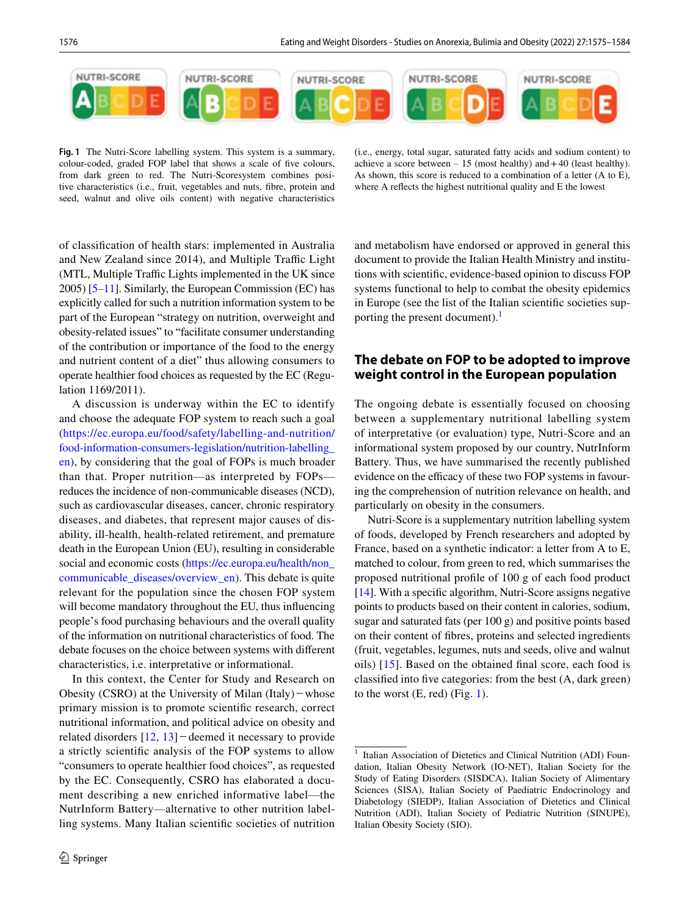

<span id="page-1-1"></span>**Fig. 1** The Nutri-Score labelling system. This system is a summary, colour-coded, graded FOP label that shows a scale of fve colours, from dark green to red. The Nutri-Scoresystem combines positive characteristics (i.e., fruit, vegetables and nuts, fbre, protein and seed, walnut and olive oils content) with negative characteristics

(i.e., energy, total sugar, saturated fatty acids and sodium content) to achieve a score between  $-15$  (most healthy) and  $+40$  (least healthy). As shown, this score is reduced to a combination of a letter (A to E), where A refects the highest nutritional quality and E the lowest

of classifcation of health stars: implemented in Australia and New Zealand since 2014), and Multiple Traffic Light (MTL, Multiple Traffic Lights implemented in the UK since 2005) [[5](#page-7-4)–[11](#page-7-5)]. Similarly, the European Commission (EC) has explicitly called for such a nutrition information system to be part of the European "strategy on nutrition, overweight and obesity-related issues" to "facilitate consumer understanding of the contribution or importance of the food to the energy and nutrient content of a diet" thus allowing consumers to operate healthier food choices as requested by the EC (Regulation 1169/2011).

A discussion is underway within the EC to identify and choose the adequate FOP system to reach such a goal ([https://ec.europa.eu/food/safety/labelling-and-nutrition/](https://ec.europa.eu/food/safety/labelling-and-nutrition/food-information-consumers-legislation/nutrition-labelling_en) [food-information-consumers-legislation/nutrition-labelling\\_](https://ec.europa.eu/food/safety/labelling-and-nutrition/food-information-consumers-legislation/nutrition-labelling_en) [en\)](https://ec.europa.eu/food/safety/labelling-and-nutrition/food-information-consumers-legislation/nutrition-labelling_en), by considering that the goal of FOPs is much broader than that. Proper nutrition—as interpreted by FOPs reduces the incidence of non-communicable diseases (NCD), such as cardiovascular diseases, cancer, chronic respiratory diseases, and diabetes, that represent major causes of disability, ill-health, health-related retirement, and premature death in the European Union (EU), resulting in considerable social and economic costs (https://ec.europa.eu/health/non [communicable\\_diseases/overview\\_en\)](https://ec.europa.eu/health/non_communicable_diseases/overview_en). This debate is quite relevant for the population since the chosen FOP system will become mandatory throughout the EU, thus infuencing people's food purchasing behaviours and the overall quality of the information on nutritional characteristics of food. The debate focuses on the choice between systems with diferent characteristics, i.e. interpretative or informational.

In this context, the Center for Study and Research on Obesity (CSRO) at the University of Milan (Italy)−whose primary mission is to promote scientifc research, correct nutritional information, and political advice on obesity and related disorders [[12,](#page-7-6) [13](#page-7-7)]−deemed it necessary to provide a strictly scientifc analysis of the FOP systems to allow "consumers to operate healthier food choices", as requested by the EC. Consequently, CSRO has elaborated a document describing a new enriched informative label—the NutrInform Battery—alternative to other nutrition labelling systems. Many Italian scientifc societies of nutrition and metabolism have endorsed or approved in general this document to provide the Italian Health Ministry and institutions with scientifc, evidence-based opinion to discuss FOP systems functional to help to combat the obesity epidemics in Europe (see the list of the Italian scientifc societies supporting the present document).<sup>1</sup>

## **The debate on FOP to be adopted to improve weight control in the European population**

The ongoing debate is essentially focused on choosing between a supplementary nutritional labelling system of interpretative (or evaluation) type, Nutri-Score and an informational system proposed by our country, NutrInform Battery. Thus, we have summarised the recently published evidence on the efficacy of these two FOP systems in favouring the comprehension of nutrition relevance on health, and particularly on obesity in the consumers.

Nutri-Score is a supplementary nutrition labelling system of foods, developed by French researchers and adopted by France, based on a synthetic indicator: a letter from A to E, matched to colour, from green to red, which summarises the proposed nutritional profle of 100 g of each food product [\[14](#page-7-8)]. With a specifc algorithm, Nutri-Score assigns negative points to products based on their content in calories, sodium, sugar and saturated fats (per 100 g) and positive points based on their content of fbres, proteins and selected ingredients (fruit, vegetables, legumes, nuts and seeds, olive and walnut oils) [[15](#page-7-9)]. Based on the obtained fnal score, each food is classifed into fve categories: from the best (A, dark green) to the worst  $(E, red)$  (Fig. [1\)](#page-1-1).

<span id="page-1-0"></span><sup>&</sup>lt;sup>1</sup> Italian Association of Dietetics and Clinical Nutrition (ADI) Foundation, Italian Obesity Network (IO-NET), Italian Society for the Study of Eating Disorders (SISDCA), Italian Society of Alimentary Sciences (SISA), Italian Society of Paediatric Endocrinology and Diabetology (SIEDP), Italian Association of Dietetics and Clinical Nutrition (ADI), Italian Society of Pediatric Nutrition (SINUPE), Italian Obesity Society (SIO).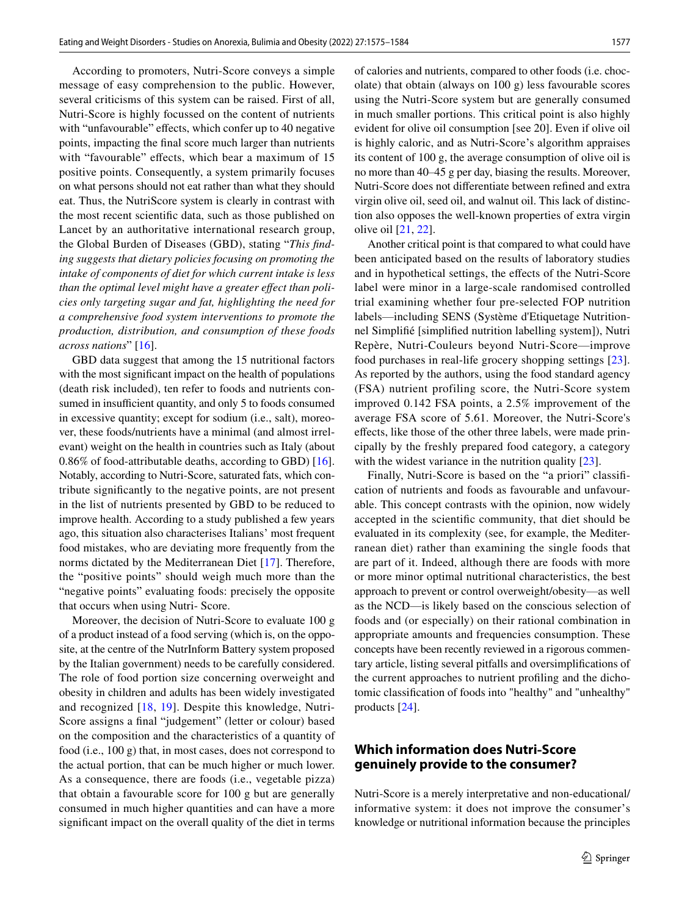According to promoters, Nutri-Score conveys a simple message of easy comprehension to the public. However, several criticisms of this system can be raised. First of all, Nutri-Score is highly focussed on the content of nutrients with "unfavourable" effects, which confer up to 40 negative points, impacting the fnal score much larger than nutrients with "favourable" effects, which bear a maximum of 15 positive points. Consequently, a system primarily focuses on what persons should not eat rather than what they should eat. Thus, the NutriScore system is clearly in contrast with the most recent scientifc data, such as those published on Lancet by an authoritative international research group, the Global Burden of Diseases (GBD), stating "*This fnding suggests that dietary policies focusing on promoting the intake of components of diet for which current intake is less than the optimal level might have a greater efect than policies only targeting sugar and fat, highlighting the need for a comprehensive food system interventions to promote the production, distribution, and consumption of these foods across nations*" [[16\]](#page-7-10).

GBD data suggest that among the 15 nutritional factors with the most signifcant impact on the health of populations (death risk included), ten refer to foods and nutrients consumed in insufficient quantity, and only 5 to foods consumed in excessive quantity; except for sodium (i.e., salt), moreover, these foods/nutrients have a minimal (and almost irrelevant) weight on the health in countries such as Italy (about 0.86% of food-attributable deaths, according to GBD) [\[16](#page-7-10)]. Notably, according to Nutri-Score, saturated fats, which contribute signifcantly to the negative points, are not present in the list of nutrients presented by GBD to be reduced to improve health. According to a study published a few years ago, this situation also characterises Italians' most frequent food mistakes, who are deviating more frequently from the norms dictated by the Mediterranean Diet [\[17](#page-7-11)]. Therefore, the "positive points" should weigh much more than the "negative points" evaluating foods: precisely the opposite that occurs when using Nutri- Score.

Moreover, the decision of Nutri-Score to evaluate 100 g of a product instead of a food serving (which is, on the opposite, at the centre of the NutrInform Battery system proposed by the Italian government) needs to be carefully considered. The role of food portion size concerning overweight and obesity in children and adults has been widely investigated and recognized [[18,](#page-7-12) [19](#page-7-13)]. Despite this knowledge, Nutri-Score assigns a fnal "judgement" (letter or colour) based on the composition and the characteristics of a quantity of food (i.e., 100 g) that, in most cases, does not correspond to the actual portion, that can be much higher or much lower. As a consequence, there are foods (i.e., vegetable pizza) that obtain a favourable score for 100 g but are generally consumed in much higher quantities and can have a more signifcant impact on the overall quality of the diet in terms of calories and nutrients, compared to other foods (i.e. chocolate) that obtain (always on 100 g) less favourable scores using the Nutri-Score system but are generally consumed in much smaller portions. This critical point is also highly evident for olive oil consumption [see 20]. Even if olive oil is highly caloric, and as Nutri-Score's algorithm appraises its content of 100 g, the average consumption of olive oil is no more than 40–45 g per day, biasing the results. Moreover, Nutri-Score does not diferentiate between refned and extra virgin olive oil, seed oil, and walnut oil. This lack of distinction also opposes the well-known properties of extra virgin olive oil [\[21](#page-8-0), [22](#page-8-1)].

Another critical point is that compared to what could have been anticipated based on the results of laboratory studies and in hypothetical settings, the efects of the Nutri-Score label were minor in a large-scale randomised controlled trial examining whether four pre-selected FOP nutrition labels—including SENS (Système d'Etiquetage Nutritionnel Simplifé [simplifed nutrition labelling system]), Nutri Repère, Nutri-Couleurs beyond Nutri-Score—improve food purchases in real-life grocery shopping settings [[23](#page-8-2)]. As reported by the authors, using the food standard agency (FSA) nutrient profiling score, the Nutri-Score system improved 0.142 FSA points, a 2.5% improvement of the average FSA score of 5.61. Moreover, the Nutri-Score's efects, like those of the other three labels, were made principally by the freshly prepared food category, a category with the widest variance in the nutrition quality [\[23\]](#page-8-2).

Finally, Nutri-Score is based on the "a priori" classifcation of nutrients and foods as favourable and unfavourable. This concept contrasts with the opinion, now widely accepted in the scientifc community, that diet should be evaluated in its complexity (see, for example, the Mediterranean diet) rather than examining the single foods that are part of it. Indeed, although there are foods with more or more minor optimal nutritional characteristics, the best approach to prevent or control overweight/obesity—as well as the NCD—is likely based on the conscious selection of foods and (or especially) on their rational combination in appropriate amounts and frequencies consumption. These concepts have been recently reviewed in a rigorous commentary article, listing several pitfalls and oversimplifcations of the current approaches to nutrient profling and the dichotomic classifcation of foods into "healthy" and "unhealthy" products [[24\]](#page-8-3).

## **Which information does Nutri‑Score genuinely provide to the consumer?**

Nutri-Score is a merely interpretative and non-educational/ informative system: it does not improve the consumer's knowledge or nutritional information because the principles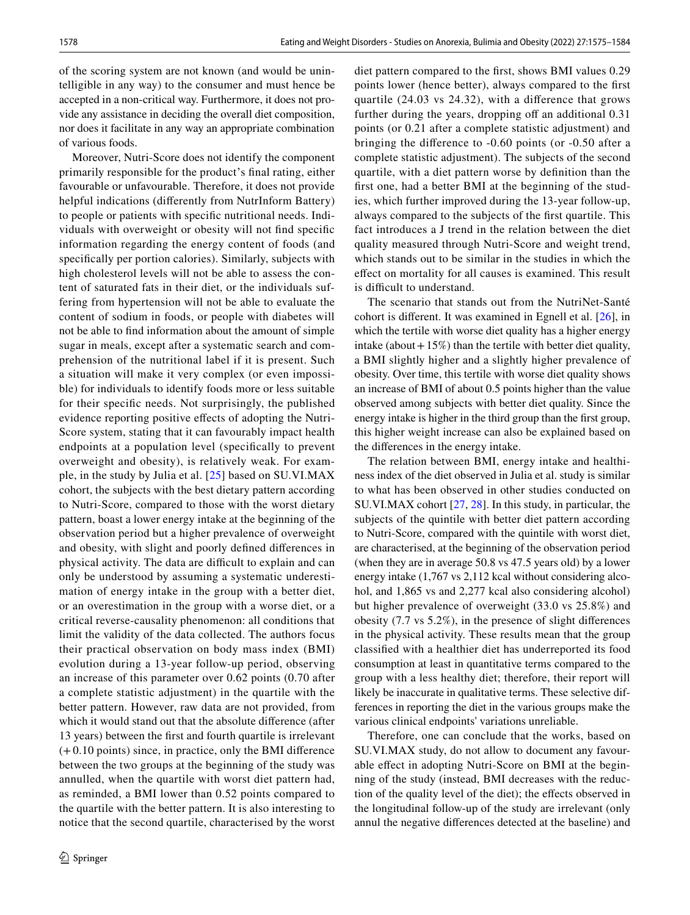of the scoring system are not known (and would be unintelligible in any way) to the consumer and must hence be accepted in a non-critical way. Furthermore, it does not provide any assistance in deciding the overall diet composition, nor does it facilitate in any way an appropriate combination of various foods.

Moreover, Nutri-Score does not identify the component primarily responsible for the product's fnal rating, either favourable or unfavourable. Therefore, it does not provide helpful indications (diferently from NutrInform Battery) to people or patients with specifc nutritional needs. Individuals with overweight or obesity will not fnd specifc information regarding the energy content of foods (and specifcally per portion calories). Similarly, subjects with high cholesterol levels will not be able to assess the content of saturated fats in their diet, or the individuals suffering from hypertension will not be able to evaluate the content of sodium in foods, or people with diabetes will not be able to fnd information about the amount of simple sugar in meals, except after a systematic search and comprehension of the nutritional label if it is present. Such a situation will make it very complex (or even impossible) for individuals to identify foods more or less suitable for their specifc needs. Not surprisingly, the published evidence reporting positive efects of adopting the Nutri-Score system, stating that it can favourably impact health endpoints at a population level (specifcally to prevent overweight and obesity), is relatively weak. For example, in the study by Julia et al. [[25](#page-8-4)] based on SU.VI.MAX cohort, the subjects with the best dietary pattern according to Nutri-Score, compared to those with the worst dietary pattern, boast a lower energy intake at the beginning of the observation period but a higher prevalence of overweight and obesity, with slight and poorly defned diferences in physical activity. The data are difficult to explain and can only be understood by assuming a systematic underestimation of energy intake in the group with a better diet, or an overestimation in the group with a worse diet, or a critical reverse-causality phenomenon: all conditions that limit the validity of the data collected. The authors focus their practical observation on body mass index (BMI) evolution during a 13-year follow-up period, observing an increase of this parameter over 0.62 points (0.70 after a complete statistic adjustment) in the quartile with the better pattern. However, raw data are not provided, from which it would stand out that the absolute diference (after 13 years) between the frst and fourth quartile is irrelevant (+0.10 points) since, in practice, only the BMI diference between the two groups at the beginning of the study was annulled, when the quartile with worst diet pattern had, as reminded, a BMI lower than 0.52 points compared to the quartile with the better pattern. It is also interesting to notice that the second quartile, characterised by the worst diet pattern compared to the frst, shows BMI values 0.29 points lower (hence better), always compared to the frst quartile (24.03 vs 24.32), with a diference that grows further during the years, dropping off an additional 0.31 points (or 0.21 after a complete statistic adjustment) and bringing the diference to -0.60 points (or -0.50 after a complete statistic adjustment). The subjects of the second quartile, with a diet pattern worse by defnition than the frst one, had a better BMI at the beginning of the studies, which further improved during the 13-year follow-up, always compared to the subjects of the frst quartile. This fact introduces a J trend in the relation between the diet quality measured through Nutri-Score and weight trend, which stands out to be similar in the studies in which the efect on mortality for all causes is examined. This result is difficult to understand.

The scenario that stands out from the NutriNet-Santé cohort is diferent. It was examined in Egnell et al. [[26\]](#page-8-5), in which the tertile with worse diet quality has a higher energy intake (about  $+15\%$ ) than the tertile with better diet quality, a BMI slightly higher and a slightly higher prevalence of obesity. Over time, this tertile with worse diet quality shows an increase of BMI of about 0.5 points higher than the value observed among subjects with better diet quality. Since the energy intake is higher in the third group than the frst group, this higher weight increase can also be explained based on the diferences in the energy intake.

The relation between BMI, energy intake and healthiness index of the diet observed in Julia et al. study is similar to what has been observed in other studies conducted on SU.VI.MAX cohort [[27,](#page-8-6) [28\]](#page-8-7). In this study, in particular, the subjects of the quintile with better diet pattern according to Nutri-Score, compared with the quintile with worst diet, are characterised, at the beginning of the observation period (when they are in average 50.8 vs 47.5 years old) by a lower energy intake (1,767 vs 2,112 kcal without considering alcohol, and 1,865 vs and 2,277 kcal also considering alcohol) but higher prevalence of overweight (33.0 vs 25.8%) and obesity (7.7 vs 5.2%), in the presence of slight diferences in the physical activity. These results mean that the group classifed with a healthier diet has underreported its food consumption at least in quantitative terms compared to the group with a less healthy diet; therefore, their report will likely be inaccurate in qualitative terms. These selective differences in reporting the diet in the various groups make the various clinical endpoints' variations unreliable.

Therefore, one can conclude that the works, based on SU.VI.MAX study, do not allow to document any favourable efect in adopting Nutri-Score on BMI at the beginning of the study (instead, BMI decreases with the reduction of the quality level of the diet); the efects observed in the longitudinal follow-up of the study are irrelevant (only annul the negative diferences detected at the baseline) and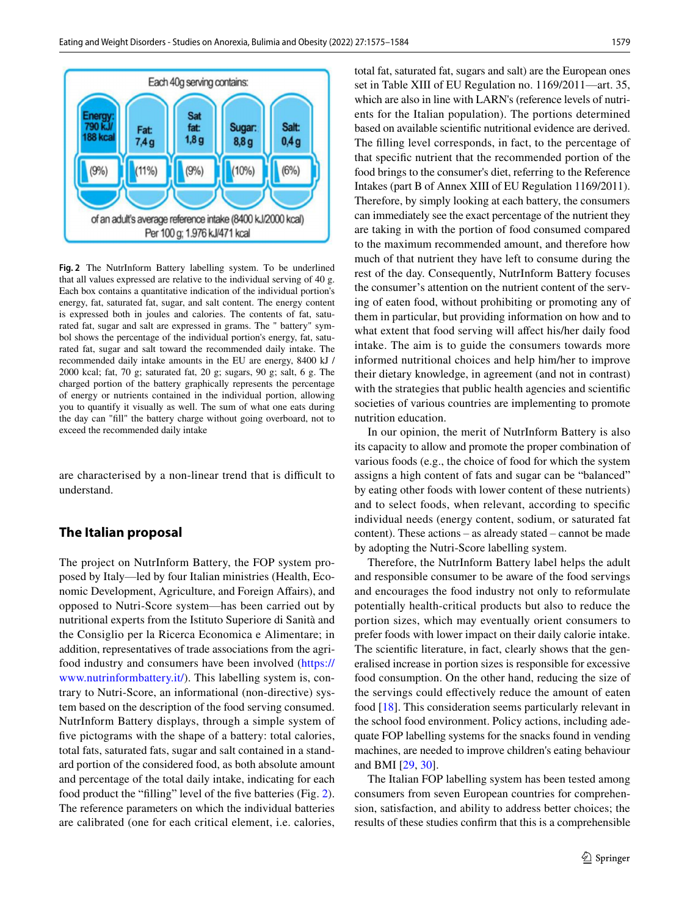

<span id="page-4-0"></span>**Fig. 2** The NutrInform Battery labelling system. To be underlined that all values expressed are relative to the individual serving of 40 g. Each box contains a quantitative indication of the individual portion's energy, fat, saturated fat, sugar, and salt content. The energy content is expressed both in joules and calories. The contents of fat, saturated fat, sugar and salt are expressed in grams. The " battery" symbol shows the percentage of the individual portion's energy, fat, saturated fat, sugar and salt toward the recommended daily intake. The recommended daily intake amounts in the EU are energy, 8400 kJ / 2000 kcal; fat, 70 g; saturated fat, 20 g; sugars, 90 g; salt, 6 g. The charged portion of the battery graphically represents the percentage of energy or nutrients contained in the individual portion, allowing you to quantify it visually as well. The sum of what one eats during the day can "fll" the battery charge without going overboard, not to exceed the recommended daily intake

are characterised by a non-linear trend that is difficult to understand.

### **The Italian proposal**

The project on NutrInform Battery, the FOP system proposed by Italy—led by four Italian ministries (Health, Economic Development, Agriculture, and Foreign Affairs), and opposed to Nutri-Score system—has been carried out by nutritional experts from the Istituto Superiore di Sanità and the Consiglio per la Ricerca Economica e Alimentare; in addition, representatives of trade associations from the agrifood industry and consumers have been involved [\(https://](https://www.nutrinformbattery.it/) [www.nutrinformbattery.it/\)](https://www.nutrinformbattery.it/). This labelling system is, contrary to Nutri-Score, an informational (non-directive) system based on the description of the food serving consumed. NutrInform Battery displays, through a simple system of five pictograms with the shape of a battery: total calories, total fats, saturated fats, sugar and salt contained in a standard portion of the considered food, as both absolute amount and percentage of the total daily intake, indicating for each food product the "flling" level of the fve batteries (Fig. [2](#page-4-0)). The reference parameters on which the individual batteries are calibrated (one for each critical element, i.e. calories, total fat, saturated fat, sugars and salt) are the European ones set in Table XIII of EU Regulation no. 1169/2011—art. 35, which are also in line with LARN's (reference levels of nutrients for the Italian population). The portions determined based on available scientifc nutritional evidence are derived. The flling level corresponds, in fact, to the percentage of that specifc nutrient that the recommended portion of the food brings to the consumer's diet, referring to the Reference Intakes (part B of Annex XIII of EU Regulation 1169/2011). Therefore, by simply looking at each battery, the consumers can immediately see the exact percentage of the nutrient they are taking in with the portion of food consumed compared to the maximum recommended amount, and therefore how much of that nutrient they have left to consume during the rest of the day. Consequently, NutrInform Battery focuses the consumer's attention on the nutrient content of the serving of eaten food, without prohibiting or promoting any of them in particular, but providing information on how and to what extent that food serving will affect his/her daily food intake. The aim is to guide the consumers towards more informed nutritional choices and help him/her to improve their dietary knowledge, in agreement (and not in contrast) with the strategies that public health agencies and scientifc societies of various countries are implementing to promote nutrition education.

In our opinion, the merit of NutrInform Battery is also its capacity to allow and promote the proper combination of various foods (e.g., the choice of food for which the system assigns a high content of fats and sugar can be "balanced" by eating other foods with lower content of these nutrients) and to select foods, when relevant, according to specifc individual needs (energy content, sodium, or saturated fat content). These actions – as already stated – cannot be made by adopting the Nutri-Score labelling system.

Therefore, the NutrInform Battery label helps the adult and responsible consumer to be aware of the food servings and encourages the food industry not only to reformulate potentially health-critical products but also to reduce the portion sizes, which may eventually orient consumers to prefer foods with lower impact on their daily calorie intake. The scientifc literature, in fact, clearly shows that the generalised increase in portion sizes is responsible for excessive food consumption. On the other hand, reducing the size of the servings could effectively reduce the amount of eaten food [\[18](#page-7-12)]. This consideration seems particularly relevant in the school food environment. Policy actions, including adequate FOP labelling systems for the snacks found in vending machines, are needed to improve children's eating behaviour and BMI [[29](#page-8-8), [30](#page-8-9)].

The Italian FOP labelling system has been tested among consumers from seven European countries for comprehension, satisfaction, and ability to address better choices; the results of these studies confrm that this is a comprehensible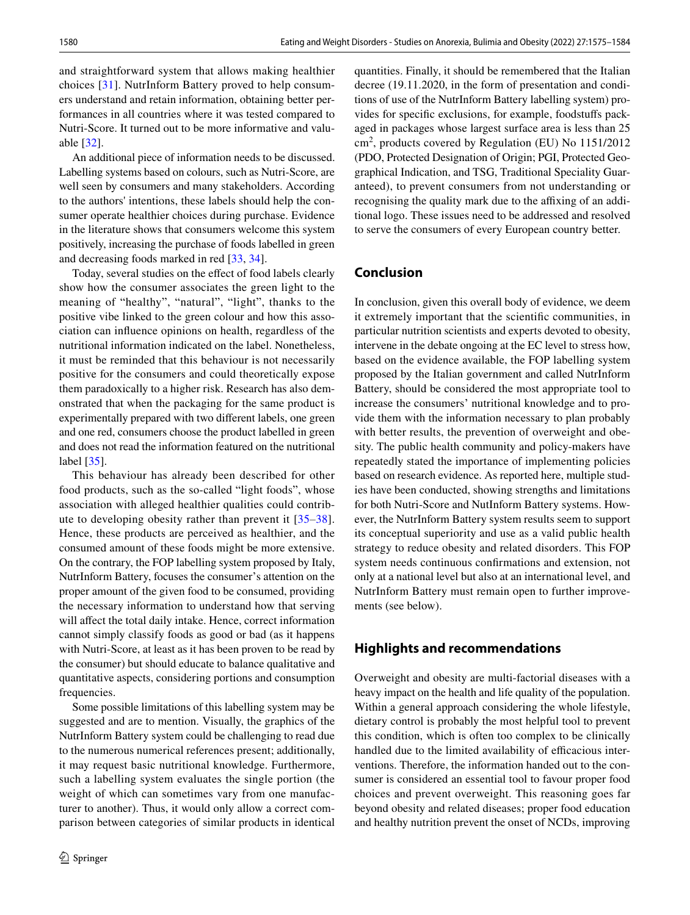and straightforward system that allows making healthier choices [\[31](#page-8-10)]. NutrInform Battery proved to help consumers understand and retain information, obtaining better performances in all countries where it was tested compared to Nutri-Score. It turned out to be more informative and valuable [[32\]](#page-8-11).

An additional piece of information needs to be discussed. Labelling systems based on colours, such as Nutri-Score, are well seen by consumers and many stakeholders. According to the authors' intentions, these labels should help the consumer operate healthier choices during purchase. Evidence in the literature shows that consumers welcome this system positively, increasing the purchase of foods labelled in green and decreasing foods marked in red [[33,](#page-8-12) [34\]](#page-8-13).

Today, several studies on the effect of food labels clearly show how the consumer associates the green light to the meaning of "healthy", "natural", "light", thanks to the positive vibe linked to the green colour and how this association can infuence opinions on health, regardless of the nutritional information indicated on the label. Nonetheless, it must be reminded that this behaviour is not necessarily positive for the consumers and could theoretically expose them paradoxically to a higher risk. Research has also demonstrated that when the packaging for the same product is experimentally prepared with two diferent labels, one green and one red, consumers choose the product labelled in green and does not read the information featured on the nutritional label [[35\]](#page-8-14).

This behaviour has already been described for other food products, such as the so-called "light foods", whose association with alleged healthier qualities could contribute to developing obesity rather than prevent it [[35](#page-8-14)–[38](#page-8-15)]. Hence, these products are perceived as healthier, and the consumed amount of these foods might be more extensive. On the contrary, the FOP labelling system proposed by Italy, NutrInform Battery, focuses the consumer's attention on the proper amount of the given food to be consumed, providing the necessary information to understand how that serving will affect the total daily intake. Hence, correct information cannot simply classify foods as good or bad (as it happens with Nutri-Score, at least as it has been proven to be read by the consumer) but should educate to balance qualitative and quantitative aspects, considering portions and consumption frequencies.

Some possible limitations of this labelling system may be suggested and are to mention. Visually, the graphics of the NutrInform Battery system could be challenging to read due to the numerous numerical references present; additionally, it may request basic nutritional knowledge. Furthermore, such a labelling system evaluates the single portion (the weight of which can sometimes vary from one manufacturer to another). Thus, it would only allow a correct comparison between categories of similar products in identical quantities. Finally, it should be remembered that the Italian decree (19.11.2020, in the form of presentation and conditions of use of the NutrInform Battery labelling system) provides for specifc exclusions, for example, foodstufs packaged in packages whose largest surface area is less than 25 cm<sup>2</sup> , products covered by Regulation (EU) No 1151/2012 (PDO, Protected Designation of Origin; PGI, Protected Geographical Indication, and TSG, Traditional Speciality Guaranteed), to prevent consumers from not understanding or recognising the quality mark due to the affixing of an additional logo. These issues need to be addressed and resolved to serve the consumers of every European country better.

## **Conclusion**

In conclusion, given this overall body of evidence, we deem it extremely important that the scientifc communities, in particular nutrition scientists and experts devoted to obesity, intervene in the debate ongoing at the EC level to stress how, based on the evidence available, the FOP labelling system proposed by the Italian government and called NutrInform Battery, should be considered the most appropriate tool to increase the consumers' nutritional knowledge and to provide them with the information necessary to plan probably with better results, the prevention of overweight and obesity. The public health community and policy-makers have repeatedly stated the importance of implementing policies based on research evidence. As reported here, multiple studies have been conducted, showing strengths and limitations for both Nutri-Score and NutInform Battery systems. However, the NutrInform Battery system results seem to support its conceptual superiority and use as a valid public health strategy to reduce obesity and related disorders. This FOP system needs continuous confrmations and extension, not only at a national level but also at an international level, and NutrInform Battery must remain open to further improvements (see below).

#### **Highlights and recommendations**

Overweight and obesity are multi-factorial diseases with a heavy impact on the health and life quality of the population. Within a general approach considering the whole lifestyle, dietary control is probably the most helpful tool to prevent this condition, which is often too complex to be clinically handled due to the limited availability of efficacious interventions. Therefore, the information handed out to the consumer is considered an essential tool to favour proper food choices and prevent overweight. This reasoning goes far beyond obesity and related diseases; proper food education and healthy nutrition prevent the onset of NCDs, improving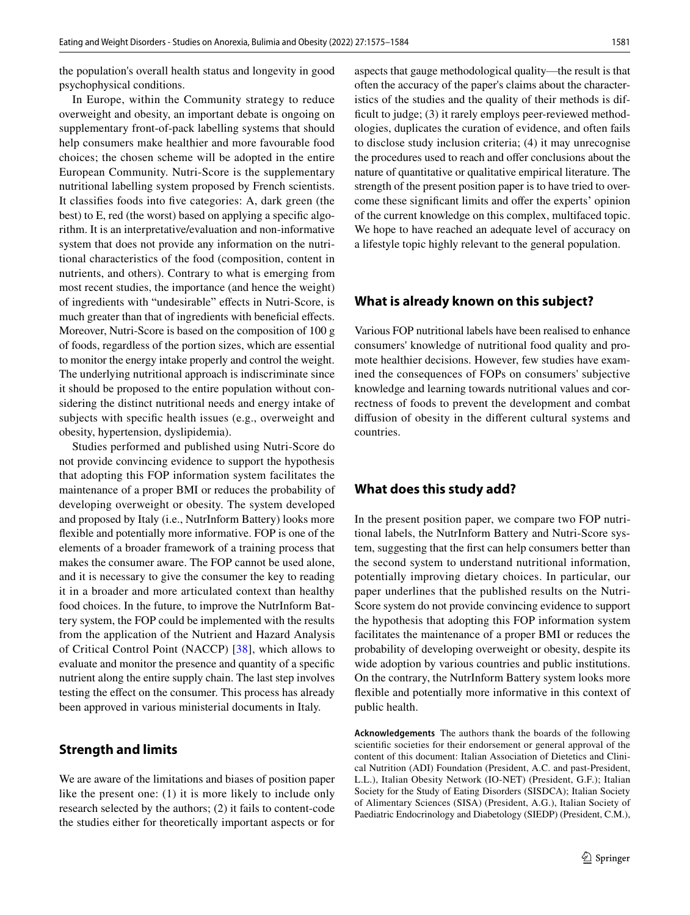the population's overall health status and longevity in good psychophysical conditions.

In Europe, within the Community strategy to reduce overweight and obesity, an important debate is ongoing on supplementary front-of-pack labelling systems that should help consumers make healthier and more favourable food choices; the chosen scheme will be adopted in the entire European Community. Nutri-Score is the supplementary nutritional labelling system proposed by French scientists. It classifes foods into fve categories: A, dark green (the best) to E, red (the worst) based on applying a specifc algorithm. It is an interpretative/evaluation and non-informative system that does not provide any information on the nutritional characteristics of the food (composition, content in nutrients, and others). Contrary to what is emerging from most recent studies, the importance (and hence the weight) of ingredients with "undesirable" efects in Nutri-Score, is much greater than that of ingredients with beneficial effects. Moreover, Nutri-Score is based on the composition of 100 g of foods, regardless of the portion sizes, which are essential to monitor the energy intake properly and control the weight. The underlying nutritional approach is indiscriminate since it should be proposed to the entire population without considering the distinct nutritional needs and energy intake of subjects with specifc health issues (e.g., overweight and obesity, hypertension, dyslipidemia).

Studies performed and published using Nutri-Score do not provide convincing evidence to support the hypothesis that adopting this FOP information system facilitates the maintenance of a proper BMI or reduces the probability of developing overweight or obesity. The system developed and proposed by Italy (i.e., NutrInform Battery) looks more fexible and potentially more informative. FOP is one of the elements of a broader framework of a training process that makes the consumer aware. The FOP cannot be used alone, and it is necessary to give the consumer the key to reading it in a broader and more articulated context than healthy food choices. In the future, to improve the NutrInform Battery system, the FOP could be implemented with the results from the application of the Nutrient and Hazard Analysis of Critical Control Point (NACCP) [[38](#page-8-15)], which allows to evaluate and monitor the presence and quantity of a specifc nutrient along the entire supply chain. The last step involves testing the efect on the consumer. This process has already been approved in various ministerial documents in Italy.

#### **Strength and limits**

We are aware of the limitations and biases of position paper like the present one: (1) it is more likely to include only research selected by the authors; (2) it fails to content-code the studies either for theoretically important aspects or for aspects that gauge methodological quality—the result is that often the accuracy of the paper's claims about the characteristics of the studies and the quality of their methods is difficult to judge; (3) it rarely employs peer-reviewed methodologies, duplicates the curation of evidence, and often fails to disclose study inclusion criteria; (4) it may unrecognise the procedures used to reach and offer conclusions about the nature of quantitative or qualitative empirical literature. The strength of the present position paper is to have tried to overcome these significant limits and offer the experts' opinion of the current knowledge on this complex, multifaced topic. We hope to have reached an adequate level of accuracy on a lifestyle topic highly relevant to the general population.

## **What is already known on this subject?**

Various FOP nutritional labels have been realised to enhance consumers' knowledge of nutritional food quality and promote healthier decisions. However, few studies have examined the consequences of FOPs on consumers' subjective knowledge and learning towards nutritional values and correctness of foods to prevent the development and combat difusion of obesity in the diferent cultural systems and countries.

#### **What does this study add?**

In the present position paper, we compare two FOP nutritional labels, the NutrInform Battery and Nutri-Score system, suggesting that the frst can help consumers better than the second system to understand nutritional information, potentially improving dietary choices. In particular, our paper underlines that the published results on the Nutri-Score system do not provide convincing evidence to support the hypothesis that adopting this FOP information system facilitates the maintenance of a proper BMI or reduces the probability of developing overweight or obesity, despite its wide adoption by various countries and public institutions. On the contrary, the NutrInform Battery system looks more fexible and potentially more informative in this context of public health.

**Acknowledgements** The authors thank the boards of the following scientifc societies for their endorsement or general approval of the content of this document: Italian Association of Dietetics and Clinical Nutrition (ADI) Foundation (President, A.C. and past-President, L.L.), Italian Obesity Network (IO-NET) (President, G.F.); Italian Society for the Study of Eating Disorders (SISDCA); Italian Society of Alimentary Sciences (SISA) (President, A.G.), Italian Society of Paediatric Endocrinology and Diabetology (SIEDP) (President, C.M.),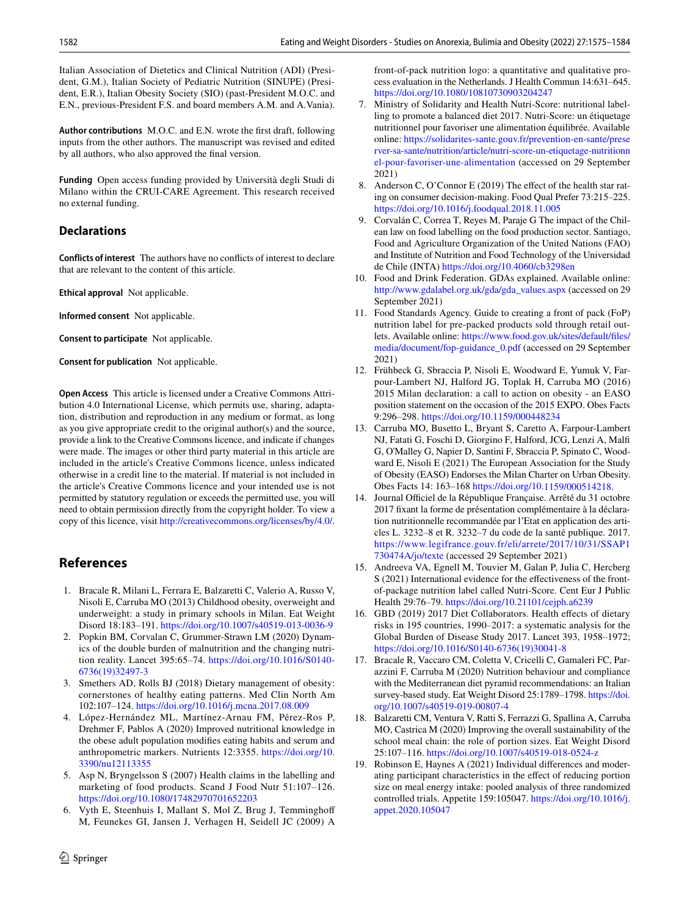Italian Association of Dietetics and Clinical Nutrition (ADI) (President, G.M.), Italian Society of Pediatric Nutrition (SINUPE) (President, E.R.), Italian Obesity Society (SIO) (past-President M.O.C. and E.N., previous-President F.S. and board members A.M. and A.Vania).

**Author contributions** M.O.C. and E.N. wrote the frst draft, following inputs from the other authors. The manuscript was revised and edited by all authors, who also approved the fnal version.

**Funding** Open access funding provided by Università degli Studi di Milano within the CRUI-CARE Agreement. This research received no external funding.

#### **Declarations**

**Conflicts of interest** The authors have no conficts of interest to declare that are relevant to the content of this article.

**Ethical approval** Not applicable.

**Informed consent** Not applicable.

**Consent to participate** Not applicable.

**Consent for publication** Not applicable.

**Open Access** This article is licensed under a Creative Commons Attribution 4.0 International License, which permits use, sharing, adaptation, distribution and reproduction in any medium or format, as long as you give appropriate credit to the original author(s) and the source, provide a link to the Creative Commons licence, and indicate if changes were made. The images or other third party material in this article are included in the article's Creative Commons licence, unless indicated otherwise in a credit line to the material. If material is not included in the article's Creative Commons licence and your intended use is not permitted by statutory regulation or exceeds the permitted use, you will need to obtain permission directly from the copyright holder. To view a copy of this licence, visit <http://creativecommons.org/licenses/by/4.0/>.

#### **References**

- <span id="page-7-0"></span>1. Bracale R, Milani L, Ferrara E, Balzaretti C, Valerio A, Russo V, Nisoli E, Carruba MO (2013) Childhood obesity, overweight and underweight: a study in primary schools in Milan. Eat Weight Disord 18:183–191. <https://doi.org/10.1007/s40519-013-0036-9>
- <span id="page-7-1"></span>2. Popkin BM, Corvalan C, Grummer-Strawn LM (2020) Dynamics of the double burden of malnutrition and the changing nutrition reality. Lancet 395:65–74. [https://doi.org/10.1016/S0140-](https://doi.org/10.1016/S0140-6736(19)32497-3) [6736\(19\)32497-3](https://doi.org/10.1016/S0140-6736(19)32497-3)
- <span id="page-7-2"></span>3. Smethers AD, Rolls BJ (2018) Dietary management of obesity: cornerstones of healthy eating patterns. Med Clin North Am 102:107–124. <https://doi.org/10.1016/j.mcna.2017.08.009>
- <span id="page-7-3"></span>4. López-Hernández ML, Martínez-Arnau FM, Pérez-Ros P, Drehmer F, Pablos A (2020) Improved nutritional knowledge in the obese adult population modifes eating habits and serum and anthropometric markers. Nutrients 12:3355. [https://doi.org/10.](https://doi.org/10.3390/nu12113355) [3390/nu12113355](https://doi.org/10.3390/nu12113355)
- <span id="page-7-4"></span>5. Asp N, Bryngelsson S (2007) Health claims in the labelling and marketing of food products. Scand J Food Nutr 51:107–126. <https://doi.org/10.1080/17482970701652203>
- Vyth E, Steenhuis I, Mallant S, Mol Z, Brug J, Temminghoff M, Feunekes GI, Jansen J, Verhagen H, Seidell JC (2009) A

 $\circled{2}$  Springer

front-of-pack nutrition logo: a quantitative and qualitative process evaluation in the Netherlands. J Health Commun 14:631–645. <https://doi.org/10.1080/10810730903204247>

- 7. Ministry of Solidarity and Health Nutri-Score: nutritional labelling to promote a balanced diet 2017. Nutri-Score: un étiquetage nutritionnel pour favoriser une alimentation équilibrée. Available online: [https://solidarites-sante.gouv.fr/prevention-en-sante/prese](https://solidarites-sante.gouv.fr/prevention-en-sante/preserver-sa-sante/nutrition/article/nutri-score-un-etiquetage-nutritionnel-pour-favoriser-une-alimentation) [rver-sa-sante/nutrition/article/nutri-score-un-etiquetage-nutritionn](https://solidarites-sante.gouv.fr/prevention-en-sante/preserver-sa-sante/nutrition/article/nutri-score-un-etiquetage-nutritionnel-pour-favoriser-une-alimentation) [el-pour-favoriser-une-alimentation](https://solidarites-sante.gouv.fr/prevention-en-sante/preserver-sa-sante/nutrition/article/nutri-score-un-etiquetage-nutritionnel-pour-favoriser-une-alimentation) (accessed on 29 September 2021)
- 8. Anderson C, O'Connor E (2019) The efect of the health star rating on consumer decision-making. Food Qual Prefer 73:215–225. <https://doi.org/10.1016/j.foodqual.2018.11.005>
- 9. Corvalán C, Correa T, Reyes M, Paraje G The impact of the Chilean law on food labelling on the food production sector. Santiago, Food and Agriculture Organization of the United Nations (FAO) and Institute of Nutrition and Food Technology of the Universidad de Chile (INTA) <https://doi.org/10.4060/cb3298en>
- 10. Food and Drink Federation. GDAs explained. Available online: [http://www.gdalabel.org.uk/gda/gda\\_values.aspx](http://www.gdalabel.org.uk/gda/gda_values.aspx) (accessed on 29 September 2021)
- <span id="page-7-5"></span>11. Food Standards Agency. Guide to creating a front of pack (FoP) nutrition label for pre-packed products sold through retail outlets. Available online: [https://www.food.gov.uk/sites/default/fles/](https://www.food.gov.uk/sites/default/files/media/document/fop-guidance_0.pdf) [media/document/fop-guidance\\_0.pdf](https://www.food.gov.uk/sites/default/files/media/document/fop-guidance_0.pdf) (accessed on 29 September 2021)
- <span id="page-7-6"></span>12. Frühbeck G, Sbraccia P, Nisoli E, Woodward E, Yumuk V, Farpour-Lambert NJ, Halford JG, Toplak H, Carruba MO (2016) 2015 Milan declaration: a call to action on obesity - an EASO position statement on the occasion of the 2015 EXPO. Obes Facts 9:296–298.<https://doi.org/10.1159/000448234>
- <span id="page-7-7"></span>13. Carruba MO, Busetto L, Bryant S, Caretto A, Farpour-Lambert NJ, Fatati G, Foschi D, Giorgino F, Halford, JCG, Lenzi A, Malf G, O'Malley G, Napier D, Santini F, Sbraccia P, Spinato C, Woodward E, Nisoli E (2021) The European Association for the Study of Obesity (EASO) Endorses the Milan Charter on Urban Obesity. Obes Facts 14: 163–168 [https://doi.org/10.1159/000514218.](https://doi.org/10.1159/000514218)
- <span id="page-7-8"></span>14. Journal Officiel de la République Française. Arrêté du 31 octobre 2017 fxant la forme de présentation complémentaire à la déclaration nutritionnelle recommandée par l'Etat en application des articles L. 3232–8 et R. 3232–7 du code de la santé publique. 2017. [https://www.legifrance.gouv.fr/eli/arrete/2017/10/31/SSAP1](https://www.legifrance.gouv.fr/eli/arrete/2017/10/31/SSAP1730474A/jo/texte) [730474A/jo/texte](https://www.legifrance.gouv.fr/eli/arrete/2017/10/31/SSAP1730474A/jo/texte) (accessed 29 September 2021)
- <span id="page-7-9"></span>15. Andreeva VA, Egnell M, Touvier M, Galan P, Julia C, Hercberg S (2021) International evidence for the effectiveness of the frontof-package nutrition label called Nutri-Score. Cent Eur J Public Health 29:76–79. <https://doi.org/10.21101/cejph.a6239>
- <span id="page-7-10"></span>16. GBD (2019) 2017 Diet Collaborators. Health efects of dietary risks in 195 countries, 1990–2017: a systematic analysis for the Global Burden of Disease Study 2017. Lancet 393, 1958–1972; [https://doi.org/10.1016/S0140-6736\(19\)30041-8](https://doi.org/10.1016/S0140-6736(19)30041-8)
- <span id="page-7-11"></span>17. Bracale R, Vaccaro CM, Coletta V, Cricelli C, Gamaleri FC, Parazzini F, Carruba M (2020) Nutrition behaviour and compliance with the Mediterranean diet pyramid recommendations: an Italian survey-based study. Eat Weight Disord 25:1789–1798. [https://doi.](https://doi.org/10.1007/s40519-019-00807-4) [org/10.1007/s40519-019-00807-4](https://doi.org/10.1007/s40519-019-00807-4)
- <span id="page-7-12"></span>18. Balzaretti CM, Ventura V, Ratti S, Ferrazzi G, Spallina A, Carruba MO, Castrica M (2020) Improving the overall sustainability of the school meal chain: the role of portion sizes. Eat Weight Disord 25:107–116.<https://doi.org/10.1007/s40519-018-0524-z>
- <span id="page-7-13"></span>19. Robinson E, Haynes A (2021) Individual diferences and moderating participant characteristics in the efect of reducing portion size on meal energy intake: pooled analysis of three randomized controlled trials. Appetite 159:105047. [https://doi.org/10.1016/j.](https://doi.org/10.1016/j.appet.2020.105047) [appet.2020.105047](https://doi.org/10.1016/j.appet.2020.105047)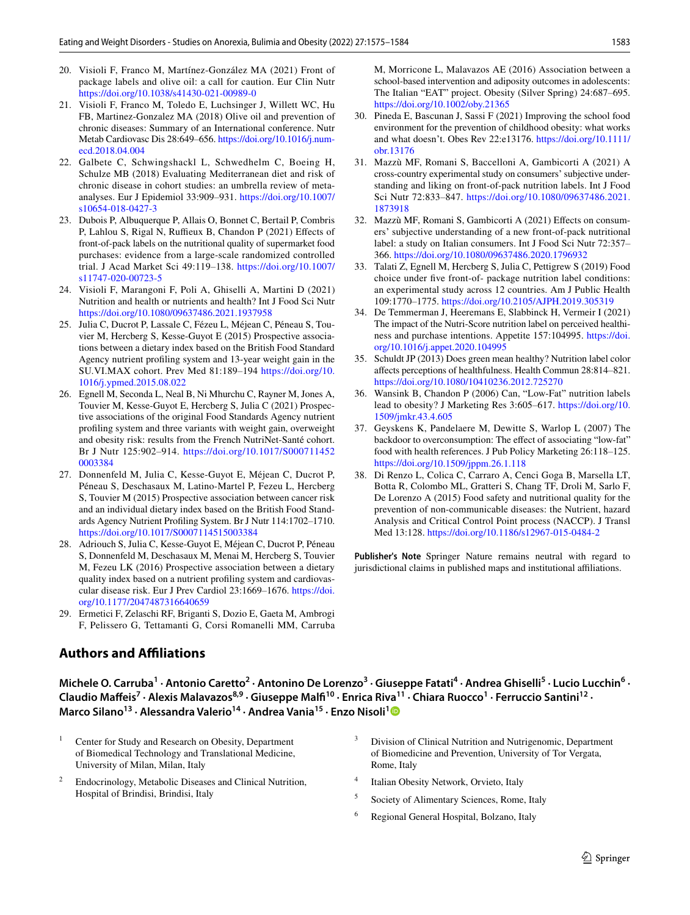- 20. Visioli F, Franco M, Martínez-González MA (2021) Front of package labels and olive oil: a call for caution. Eur Clin Nutr <https://doi.org/10.1038/s41430-021-00989-0>
- <span id="page-8-0"></span>21. Visioli F, Franco M, Toledo E, Luchsinger J, Willett WC, Hu FB, Martinez-Gonzalez MA (2018) Olive oil and prevention of chronic diseases: Summary of an International conference. Nutr Metab Cardiovasc Dis 28:649–656. [https://doi.org/10.1016/j.num](https://doi.org/10.1016/j.numecd.2018.04.004)[ecd.2018.04.004](https://doi.org/10.1016/j.numecd.2018.04.004)
- <span id="page-8-1"></span>22. Galbete C, Schwingshackl L, Schwedhelm C, Boeing H, Schulze MB (2018) Evaluating Mediterranean diet and risk of chronic disease in cohort studies: an umbrella review of metaanalyses. Eur J Epidemiol 33:909–931. [https://doi.org/10.1007/](https://doi.org/10.1007/s10654-018-0427-3) [s10654-018-0427-3](https://doi.org/10.1007/s10654-018-0427-3)
- <span id="page-8-2"></span>23. Dubois P, Albuquerque P, Allais O, Bonnet C, Bertail P, Combris P, Lahlou S, Rigal N, Ruffieux B, Chandon P (2021) Effects of front-of-pack labels on the nutritional quality of supermarket food purchases: evidence from a large-scale randomized controlled trial. J Acad Market Sci 49:119–138. [https://doi.org/10.1007/](https://doi.org/10.1007/s11747-020-00723-5) [s11747-020-00723-5](https://doi.org/10.1007/s11747-020-00723-5)
- <span id="page-8-3"></span>24. Visioli F, Marangoni F, Poli A, Ghiselli A, Martini D (2021) Nutrition and health or nutrients and health? Int J Food Sci Nutr <https://doi.org/10.1080/09637486.2021.1937958>
- <span id="page-8-4"></span>25. Julia C, Ducrot P, Lassale C, Fézeu L, Méjean C, Péneau S, Touvier M, Hercberg S, Kesse-Guyot E (2015) Prospective associations between a dietary index based on the British Food Standard Agency nutrient profling system and 13-year weight gain in the SU.VI.MAX cohort. Prev Med 81:189–194 [https://doi.org/10.](https://doi.org/10.1016/j.ypmed.2015.08.022) [1016/j.ypmed.2015.08.022](https://doi.org/10.1016/j.ypmed.2015.08.022)
- <span id="page-8-5"></span>26. Egnell M, Seconda L, Neal B, Ni Mhurchu C, Rayner M, Jones A, Touvier M, Kesse-Guyot E, Hercberg S, Julia C (2021) Prospective associations of the original Food Standards Agency nutrient profling system and three variants with weight gain, overweight and obesity risk: results from the French NutriNet-Santé cohort. Br J Nutr 125:902–914. [https://doi.org/10.1017/S000711452](https://doi.org/10.1017/S0007114520003384) [0003384](https://doi.org/10.1017/S0007114520003384)
- <span id="page-8-6"></span>27. Donnenfeld M, Julia C, Kesse-Guyot E, Méjean C, Ducrot P, Péneau S, Deschasaux M, Latino-Martel P, Fezeu L, Hercberg S, Touvier M (2015) Prospective association between cancer risk and an individual dietary index based on the British Food Standards Agency Nutrient Profling System. Br J Nutr 114:1702–1710. <https://doi.org/10.1017/S0007114515003384>
- <span id="page-8-7"></span>28. Adriouch S, Julia C, Kesse-Guyot E, Méjean C, Ducrot P, Péneau S, Donnenfeld M, Deschasaux M, Menai M, Hercberg S, Touvier M, Fezeu LK (2016) Prospective association between a dietary quality index based on a nutrient profling system and cardiovascular disease risk. Eur J Prev Cardiol 23:1669–1676. [https://doi.](https://doi.org/10.1177/2047487316640659) [org/10.1177/2047487316640659](https://doi.org/10.1177/2047487316640659)
- <span id="page-8-8"></span>29. Ermetici F, Zelaschi RF, Briganti S, Dozio E, Gaeta M, Ambrogi F, Pelissero G, Tettamanti G, Corsi Romanelli MM, Carruba

## **Authors and Afliations**

M, Morricone L, Malavazos AE (2016) Association between a school-based intervention and adiposity outcomes in adolescents: The Italian "EAT" project. Obesity (Silver Spring) 24:687–695. <https://doi.org/10.1002/oby.21365>

- <span id="page-8-9"></span>30. Pineda E, Bascunan J, Sassi F (2021) Improving the school food environment for the prevention of childhood obesity: what works and what doesn't. Obes Rev 22:e13176. [https://doi.org/10.1111/](https://doi.org/10.1111/obr.13176) [obr.13176](https://doi.org/10.1111/obr.13176)
- <span id="page-8-10"></span>31. Mazzù MF, Romani S, Baccelloni A, Gambicorti A (2021) A cross-country experimental study on consumers' subjective understanding and liking on front-of-pack nutrition labels. Int J Food Sci Nutr 72:833–847. [https://doi.org/10.1080/09637486.2021.](https://doi.org/10.1080/09637486.2021.1873918) [1873918](https://doi.org/10.1080/09637486.2021.1873918)
- <span id="page-8-11"></span>32. Mazzù MF, Romani S, Gambicorti A (2021) Efects on consumers' subjective understanding of a new front-of-pack nutritional label: a study on Italian consumers. Int J Food Sci Nutr 72:357– 366.<https://doi.org/10.1080/09637486.2020.1796932>
- <span id="page-8-12"></span>33. Talati Z, Egnell M, Hercberg S, Julia C, Pettigrew S (2019) Food choice under fve front-of- package nutrition label conditions: an experimental study across 12 countries. Am J Public Health 109:1770–1775.<https://doi.org/10.2105/AJPH.2019.305319>
- <span id="page-8-13"></span>34. De Temmerman J, Heeremans E, Slabbinck H, Vermeir I (2021) The impact of the Nutri-Score nutrition label on perceived healthiness and purchase intentions. Appetite 157:104995. [https://doi.](https://doi.org/10.1016/j.appet.2020.104995) [org/10.1016/j.appet.2020.104995](https://doi.org/10.1016/j.appet.2020.104995)
- <span id="page-8-14"></span>35. Schuldt JP (2013) Does green mean healthy? Nutrition label color afects perceptions of healthfulness. Health Commun 28:814–821. <https://doi.org/10.1080/10410236.2012.725270>
- 36. Wansink B, Chandon P (2006) Can, "Low-Fat" nutrition labels lead to obesity? J Marketing Res 3:605–617. [https://doi.org/10.](https://doi.org/10.1509/jmkr.43.4.605) [1509/jmkr.43.4.605](https://doi.org/10.1509/jmkr.43.4.605)
- 37. Geyskens K, Pandelaere M, Dewitte S, Warlop L (2007) The backdoor to overconsumption: The effect of associating "low-fat" food with health references. J Pub Policy Marketing 26:118–125. <https://doi.org/10.1509/jppm.26.1.118>
- <span id="page-8-15"></span>38. Di Renzo L, Colica C, Carraro A, Cenci Goga B, Marsella LT, Botta R, Colombo ML, Gratteri S, Chang TF, Droli M, Sarlo F, De Lorenzo A (2015) Food safety and nutritional quality for the prevention of non-communicable diseases: the Nutrient, hazard Analysis and Critical Control Point process (NACCP). J Transl Med 13:128.<https://doi.org/10.1186/s12967-015-0484-2>

**Publisher's Note** Springer Nature remains neutral with regard to jurisdictional claims in published maps and institutional affiliations.

Michele O. Carruba<sup>1</sup> · Antonio Caretto<sup>2</sup> · Antonino De Lorenzo<sup>3</sup> · Giuseppe Fatati<sup>4</sup> · Andrea Ghiselli<sup>5</sup> · Lucio Lucchin<sup>6</sup> · Claudio Maffeis<sup>7</sup> · Alexis Malavazos<sup>8,9</sup> · Giuseppe Malfi<sup>10</sup> · Enrica Riva<sup>11</sup> · Chiara Ruocco<sup>1</sup> · Ferruccio Santini<sup>12</sup> · **Marco Silano<sup>[1](http://orcid.org/0000-0002-6670-1630)3</sup> · Alessandra Valerio<sup>14</sup> · Andrea Vania<sup>15</sup> · Enzo Nisoli<sup>1</sup><sup>0</sup>** 

- <sup>1</sup> Center for Study and Research on Obesity, Department of Biomedical Technology and Translational Medicine, University of Milan, Milan, Italy <sup>2</sup> Endocrinology, Metabolic Diseases and Clinical Nutrition, Hospital of Brindisi, Brindisi, Italy Division of Clinical Nutrition and Nutrigenomic, Department of Biomedicine and Prevention, University of Tor Vergata, Rome, Italy Italian Obesity Network, Orvieto, Italy <sup>5</sup> Society of Alimentary Sciences, Rome, Italy
	-
	- <sup>6</sup> Regional General Hospital, Bolzano, Italy